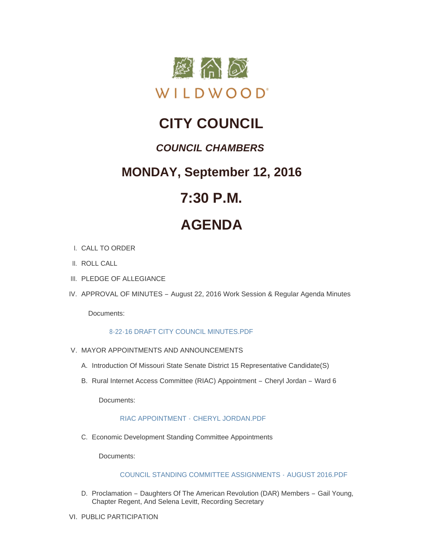

# **CITY COUNCIL**

# *COUNCIL CHAMBERS*

# **MONDAY, September 12, 2016**

# **7:30 P.M.**

# **AGENDA**

- CALL TO ORDER I.
- II. ROLL CALL
- III. PLEDGE OF ALLEGIANCE
- IV. APPROVAL OF MINUTES August 22, 2016 Work Session & Regular Agenda Minutes

Documents:

# [8-22-16 DRAFT CITY COUNCIL MINUTES.PDF](http://mo-wildwood.civicplus.com/AgendaCenter/ViewFile/Item/8144?fileID=12224)

- V. MAYOR APPOINTMENTS AND ANNOUNCEMENTS
	- A. Introduction Of Missouri State Senate District 15 Representative Candidate(S)
	- B. Rural Internet Access Committee (RIAC) Appointment Cheryl Jordan Ward 6

Documents:

# RIAC APPOINTMENT - [CHERYL JORDAN.PDF](http://mo-wildwood.civicplus.com/AgendaCenter/ViewFile/Item/8147?fileID=12225)

Economic Development Standing Committee Appointments C.

Documents:

# [COUNCIL STANDING COMMITTEE ASSIGNMENTS -](http://mo-wildwood.civicplus.com/AgendaCenter/ViewFile/Item/8148?fileID=12226) AUGUST 2016.PDF

- D. Proclamation Daughters Of The American Revolution (DAR) Members Gail Young, Chapter Regent, And Selena Levitt, Recording Secretary
- VI. PUBLIC PARTICIPATION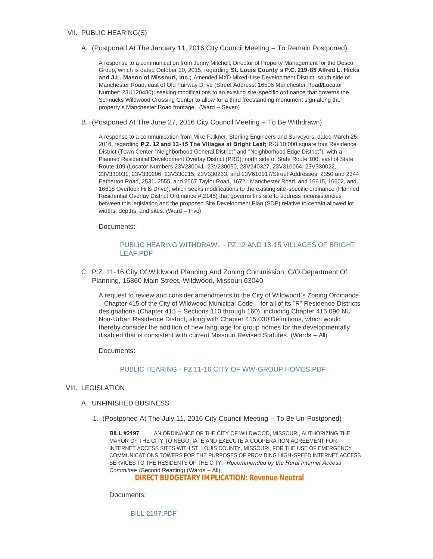### VII. PUBLIC HEARING(S)

A. (Postponed At The January 11, 2016 City Council Meeting - To Remain Postponed)

A response to a communication from Jenny Mitchell, Director of Property Management for the Desco Group, which is dated October 20, 2015, regarding **St. Louis County's P.C. 219-85 Alfred L. Hicks and J.L. Mason of Missouri, Inc.;** Amended MXD Mixed-Use Development District; south side of Manchester Road, east of Old Fairway Drive (Street Address: 16506 Manchester Road/Locator Number: 23U120480); seeking modifications to an existing site-specific ordinance that governs the Schnucks Wildwood Crossing Center to allow for a third freestanding monument sign along the property's Manchester Road frontage. (Ward – Seven)

(Postponed At The June 27, 2016 City Council Meeting – To Be Withdrawn) B.

A response to a communication from Mike Falkner, Sterling Engineers and Surveyors, dated March 25, 2016, regarding **P.Z. 12 and 13-15 The Villages at Bright Leaf;** R-3 10,000 square foot Residence District (Town Center "Neighborhood General District" and "Neighborhood Edge District"), with a Planned Residential Development Overlay District (PRD); north side of State Route 100, east of State Route 109 (Locator Numbers 23V230041, 23V230050, 23V240327, 23V310064, 23V330022, 23V330031, 23V330206, 23V330215, 23V330233, and 23V610917/Street Addresses: 2350 and 2344 Eatherton Road, 2531, 2555, and 2567 Taylor Road, 16721 Manchester Road, and 16615, 16602, and 16618 Overlook Hills Drive); which seeks modifications to the existing site-specific ordinance (Planned Residential Overlay District Ordinance # 2145) that governs this site to address inconsistencies between this legislation and the proposed Site Development Plan (SDP) relative to certain allowed lot widths, depths, and sites. (Ward – Five)

Documents:

### PUBLIC HEARING WITHDRAWL - [PZ 12 AND 13-15 VILLAGES OF BRIGHT](http://mo-wildwood.civicplus.com/AgendaCenter/ViewFile/Item/8153?fileID=12227)  LEAF.PDF

C. P.Z. 11-16 City Of Wildwood Planning And Zoning Commission, C/O Department Of Planning, 16860 Main Street, Wildwood, Missouri 63040

A request to review and consider amendments to the City of Wildwood's Zoning Ordinance – Chapter 415 of the City of Wildwood Municipal Code – for all of its "R" Residence Districts designations (Chapter 415 – Sections 110 through 160), including Chapter 415.090 NU Non-Urban Residence District, along with Chapter 415.030 Definitions, which would thereby consider the addition of new language for group homes for the developmentally disabled that is consistent with current Missouri Revised Statutes. (Wards – All)

Documents:

#### PUBLIC HEARING - [PZ 11-16 CITY OF WW-GROUP HOMES.PDF](http://mo-wildwood.civicplus.com/AgendaCenter/ViewFile/Item/8155?fileID=12229)

VIII. LEGISLATION

#### UNFINISHED BUSINESS A.

(Postponed At The July 11, 2016 City Council Meeting – To Be Un-Postponed) 1.

**BILL #2197** AN ORDINANCE OF THE CITY OF WILDWOOD, MISSOURI, AUTHORIZING THE MAYOR OF THE CITY TO NEGOTIATE AND EXECUTE A COOPERATION AGREEMENT FOR INTERNET ACCESS SITES WITH ST. LOUIS COUNTY, MISSOURI, FOR THE USE OF EMERGENCY COMMUNICATIONS TOWERS FOR THE PURPOSES OF PROVIDING HIGH-SPEED INTERNET ACCESS SERVICES TO THE RESIDENTS OF THE CITY. *Recommended by the Rural Internet Access Committee* (Second Reading) (Wards – All)

**DIRECT BUDGETARY IMPLICATION: Revenue Neutral**

Documents:

[BILL 2197.PDF](http://mo-wildwood.civicplus.com/AgendaCenter/ViewFile/Item/8158?fileID=12230)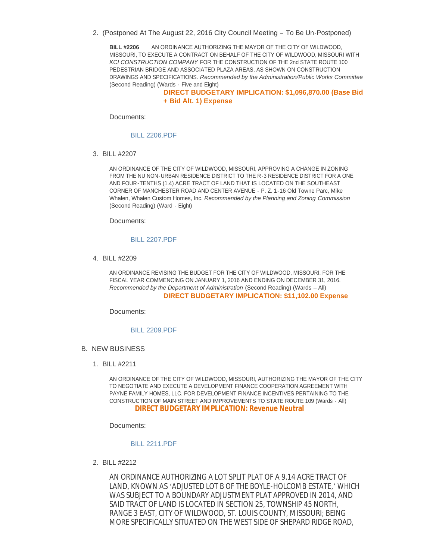2. (Postponed At The August 22, 2016 City Council Meeting - To Be Un-Postponed)

**BILL #2206** AN ORDINANCE AUTHORIZING THE MAYOR OF THE CITY OF WILDWOOD, MISSOURI, TO EXECUTE A CONTRACT ON BEHALF OF THE CITY OF WILDWOOD, MISSOURI WITH *KCI CONSTRUCTION COMPANY* FOR THE CONSTRUCTION OF THE 2nd STATE ROUTE 100 PEDESTRIAN BRIDGE AND ASSOCIATED PLAZA AREAS, AS SHOWN ON CONSTRUCTION DRAWINGS AND SPECIFICATIONS. *Recommended by the Administration/Public Works Committee* (Second Reading) (Wards - Five and Eight)

**DIRECT BUDGETARY IMPLICATION: \$1,096,870.00 (Base Bid + Bid Alt. 1) Expense**

Documents:

[BILL 2206.PDF](http://mo-wildwood.civicplus.com/AgendaCenter/ViewFile/Item/8159?fileID=12231)

BILL #2207 3.

AN ORDINANCE OF THE CITY OF WILDWOOD, MISSOURI, APPROVING A CHANGE IN ZONING FROM THE NU NON-URBAN RESIDENCE DISTRICT TO THE R-3 RESIDENCE DISTRICT FOR A ONE AND FOUR-TENTHS (1.4) ACRE TRACT OF LAND THAT IS LOCATED ON THE SOUTHEAST CORNER OF MANCHESTER ROAD AND CENTER AVENUE - P. Z. 1-16 Old Towne Parc, Mike Whalen, Whalen Custom Homes, Inc. *Recommended by the Planning and Zoning Commission* (Second Reading) (Ward - Eight)

Documents:

#### [BILL 2207.PDF](http://mo-wildwood.civicplus.com/AgendaCenter/ViewFile/Item/8160?fileID=12232)

BILL #2209 4.

AN ORDINANCE REVISING THE BUDGET FOR THE CITY OF WILDWOOD, MISSOURI, FOR THE FISCAL YEAR COMMENCING ON JANUARY 1, 2016 AND ENDING ON DECEMBER 31, 2016. *Recommended by the Department of Administration* (Second Reading) (Wards – All) **DIRECT BUDGETARY IMPLICATION: \$11,102.00 Expense**

Documents:

#### [BILL 2209.PDF](http://mo-wildwood.civicplus.com/AgendaCenter/ViewFile/Item/8161?fileID=12233)

- **B. NEW BUSINESS** 
	- BILL #2211 1.

AN ORDINANCE OF THE CITY OF WILDWOOD, MISSOURI, AUTHORIZING THE MAYOR OF THE CITY TO NEGOTIATE AND EXECUTE A DEVELOPMENT FINANCE COOPERATION AGREEMENT WITH PAYNE FAMILY HOMES, LLC, FOR DEVELOPMENT FINANCE INCENTIVES PERTAINING TO THE CONSTRUCTION OF MAIN STREET AND IMPROVEMENTS TO STATE ROUTE 109 (Wards - All) **DIRECT BUDGETARY IMPLICATION: Revenue Neutral**

Documents:

#### [BILL 2211.PDF](http://mo-wildwood.civicplus.com/AgendaCenter/ViewFile/Item/8163?fileID=12234)

BILL #2212 2.

AN ORDINANCE AUTHORIZING A LOT SPLIT PLAT OF A 9.14 ACRE TRACT OF LAND, KNOWN AS 'ADJUSTED LOT B OF THE BOYLE-HOLCOMB ESTATE,' WHICH WAS SUBJECT TO A BOUNDARY ADJUSTMENT PLAT APPROVED IN 2014, AND SAID TRACT OF LAND IS LOCATED IN SECTION 25, TOWNSHIP 45 NORTH, RANGE 3 EAST, CITY OF WILDWOOD, ST. LOUIS COUNTY, MISSOURI; BEING MORE SPECIFICALLY SITUATED ON THE WEST SIDE OF SHEPARD RIDGE ROAD,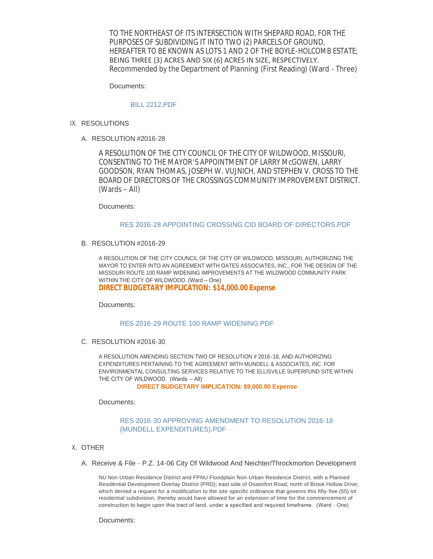TO THE NORTHEAST OF ITS INTERSECTION WITH SHEPARD ROAD, FOR THE PURPOSES OF SUBDIVIDING IT INTO TWO (2) PARCELS OF GROUND, HEREAFTER TO BE KNOWN AS LOTS 1 AND 2 OF THE BOYLE-HOLCOMB ESTATE; BEING THREE (3) ACRES AND SIX (6) ACRES IN SIZE, RESPECTIVELY. *Recommended by the Department of Planning* (First Reading) (Ward - Three)

Documents:

#### [BILL 2212.PDF](http://mo-wildwood.civicplus.com/AgendaCenter/ViewFile/Item/8164?fileID=12235)

- IX. RESOLUTIONS
	- RESOLUTION #2016-28 A.

A RESOLUTION OF THE CITY COUNCIL OF THE CITY OF WILDWOOD, MISSOURI, CONSENTING TO THE MAYOR'S APPOINTMENT OF LARRY McGOWEN, LARRY GOODSON, RYAN THOMAS, JOSEPH W. VUJNICH, AND STEPHEN V. CROSS TO THE BOARD OF DIRECTORS OF THE CROSSINGS COMMUNITY IMPROVEMENT DISTRICT. (Wards – All)

Documents:

#### [RES 2016-28 APPOINTING CROSSING CID BOARD OF DIRECTORS.PDF](http://mo-wildwood.civicplus.com/AgendaCenter/ViewFile/Item/8166?fileID=12236)

B. RESOLUTION #2016-29

A RESOLUTION OF THE CITY COUNCIL OF THE CITY OF WILDWOOD, MISSOURI, AUTHORIZING THE MAYOR TO ENTER INTO AN AGREEMENT WITH OATES ASSOCIATES, INC., FOR THE DESIGN OF THE MISSOURI ROUTE 100 RAMP WIDENING IMPROVEMENTS AT THE WILDWOOD COMMUNITY PARK WITHIN THE CITY OF WILDWOOD. (Ward – One) **DIRECT BUDGETARY IMPLICATION: \$14,000.00 Expense**

Documents:

### [RES 2016-29 ROUTE 100 RAMP WIDENING.PDF](http://mo-wildwood.civicplus.com/AgendaCenter/ViewFile/Item/8167?fileID=12237)

C. RESOLUTION #2016-30

A RESOLUTION AMENDING SECTION TWO OF RESOLUTION # 2016-18, AND AUTHORIZING EXPENDITURES PERTAINING TO THE AGREEMENT WITH MUNDELL & ASSOCIATES, INC. FOR ENVIRONMENTAL CONSULTING SERVICES RELATIVE TO THE ELLISVILLE SUPERFUND SITE WITHIN THE CITY OF WILDWOOD. (Wards – All)

**DIRECT BUDGETARY IMPLICATION: \$9,000.00 Expense**

Documents:

### [RES 2016-30 APPROVING AMENDMENT TO RESOLUTION 2016-18](http://mo-wildwood.civicplus.com/AgendaCenter/ViewFile/Item/8168?fileID=12238)  (MUNDELL EXPENDITURES).PDF

- X. OTHER
	- A. Receive & File P.Z. 14-06 City Of Wildwood And Neichter/Throckmorton Development

NU Non-Urban Residence District and FPNU Floodplain Non-Urban Residence District, with a Planned Residential Development Overlay District (PRD); east side of Ossenfort Road, north of Brook Hollow Drive; which denied a request for a modification to the site-specific ordinance that governs this fifty-five (55) lot residential subdivision, thereby would have allowed for an extension of time for the commencement of construction to begin upon this tract of land, under a specified and required timeframe. (Ward - One)

Documents: